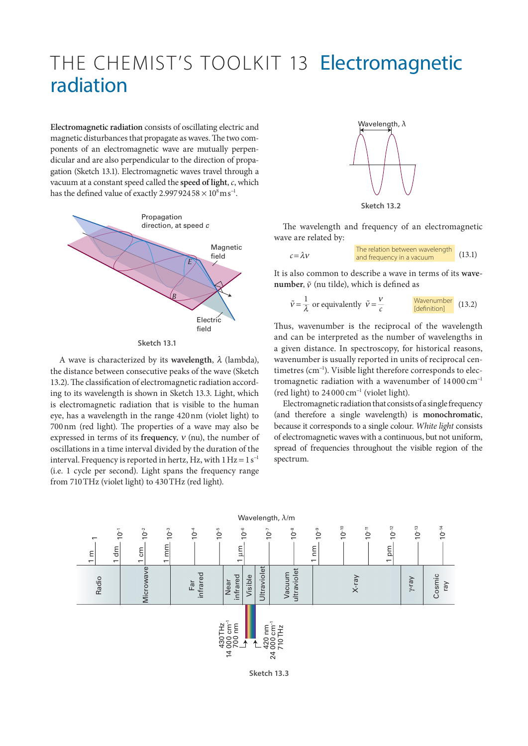## THE CHEMIST'S TOOLKIT 13 Electromagnetic radiation

**Electromagnetic radiation** consists of oscillating electric and magnetic disturbances that propagate as waves. The two components of an electromagnetic wave are mutually perpendicular and are also perpendicular to the direction of propagation (Sketch 13.1). Electromagnetic waves travel through a vacuum at a constant speed called the **speed of light**, *c*, which has the defined value of exactly 2.99792458  $\times$   $10^8 \mathrm{m\,s}^{-1}$ .



**Sketch 13.1**

A wave is characterized by its **wavelength**,  $\lambda$  (lambda), the distance between consecutive peaks of the wave (Sketch 13.2). The classification of electromagnetic radiation according to its wavelength is shown in Sketch 13.3. Light, which is electromagnetic radiation that is visible to the human eye, has a wavelength in the range 420nm (violet light) to 700nm (red light). The properties of a wave may also be expressed in terms of its **frequency**, ν (nu), the number of oscillations in a time interval divided by the duration of the interval. Frequency is reported in hertz, Hz, with  $1 \text{ Hz} = 1 \text{ s}^{-1}$ (i.e. 1 cycle per second). Light spans the frequency range from 710THz (violet light) to 430THz (red light).



The wavelength and frequency of an electromagnetic wave are related by:

| $c = \lambda v$ | The relation between wavelength<br>and frequency in a vacuum | (13.1) |
|-----------------|--------------------------------------------------------------|--------|
|-----------------|--------------------------------------------------------------|--------|

It is also common to describe a wave in terms of its **wavenumber**,  $\tilde{v}$  (nu tilde), which is defined as

$$
\tilde{v} = \frac{1}{\lambda} \text{ or equivalently } \tilde{v} = \frac{v}{c}
$$

Thus, wavenumber is the reciprocal of the wavelength and can be interpreted as the number of wavelengths in a given distance. In spectroscopy, for historical reasons, wavenumber is usually reported in units of reciprocal centimetres (cm<sup>−</sup><sup>1</sup> ). Visible light therefore corresponds to electromagnetic radiation with a wavenumber of 14 000 cm<sup>−</sup><sup>1</sup> (red light) to 24 000 cm<sup>−</sup><sup>1</sup> (violet light).

Electromagnetic radiation that consists of a single frequency (and therefore a single wavelength) is **monochromatic**, because it corresponds to a single colour. *White light* consists of electromagnetic waves with a continuous, but not uniform, spread of frequencies throughout the visible region of the spectrum.



**Sketch 13.3**